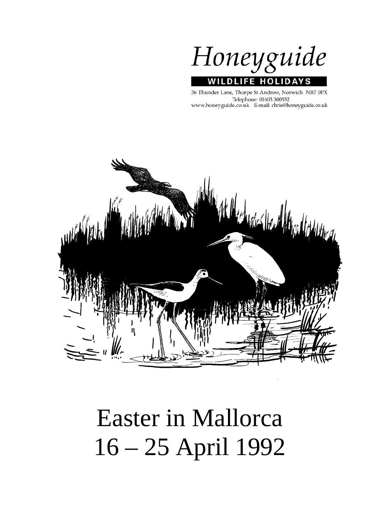Honeyguide WILDLIFE HOLI D A S

36 Thunder Lane, Thorpe St Andrew, Norwich NR7 0PX Telephone: 01603 300552 www.honeyguide.co.uk E-mail: chris@honeyguide.co.uk



# Easter in Mallorca 16 – 25 April 1992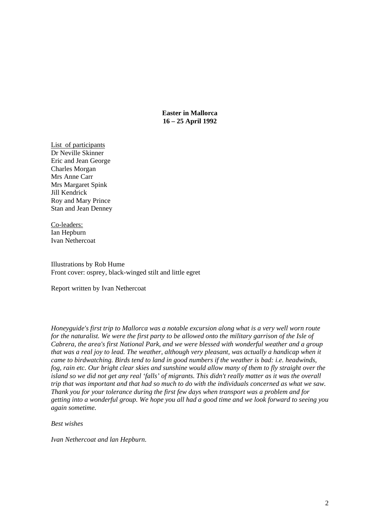**Easter in Mallorca 16 – 25 April 1992** 

List of participants Dr Neville Skinner Eric and Jean George Charles Morgan Mrs Anne Carr Mrs Margaret Spink Jill Kendrick Roy and Mary Prince Stan and Jean Denney

Co-leaders: Ian Hepburn Ivan Nethercoat

Illustrations by Rob Hume Front cover: osprey, black-winged stilt and little egret

Report written by Ivan Nethercoat

*Honeyguide's first trip to Mallorca was a notable excursion along what is a very well worn route for the naturalist. We were the first party to be allowed onto the military garrison of the Isle of Cabrera, the area's first National Park, and we were blessed with wonderful weather and a group that was a real joy to lead. The weather, although very pleasant, was actually a handicap when it came to birdwatching. Birds tend to land in good numbers if the weather is bad: i.e. headwinds, fog, rain etc. Our bright clear skies and sunshine would allow many of them to fly straight over the island so we did not get any real 'falls' of migrants. This didn't really matter as it was the overall trip that was important and that had so much to do with the individuals concerned as what we saw. Thank you for your tolerance during the first few days when transport was a problem and for getting into a wonderful group. We hope you all had a good time and we look forward to seeing you again sometime.* 

*Best wishes* 

*Ivan Nethercoat and lan Hepburn.*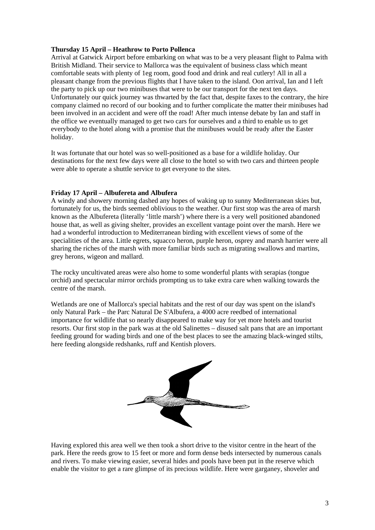# **Thursday 15 April – Heathrow to Porto Pollenca**

Arrival at Gatwick Airport before embarking on what was to be a very pleasant flight to Palma with British Midland. Their service to Mallorca was the equivalent of business class which meant comfortable seats with plenty of 1eg room, good food and drink and real cutlery! All in all a pleasant change from the previous flights that I have taken to the island. Oon arrival, Ian and I left the party to pick up our two minibuses that were to be our transport for the next ten days. Unfortunately our quick journey was thwarted by the fact that, despite faxes to the contrary, the hire company claimed no record of our booking and to further complicate the matter their minibuses had been involved in an accident and were off the road! After much intense debate by Ian and staff in the office we eventually managed to get two cars for ourselves and a third to enable us to get everybody to the hotel along with a promise that the minibuses would be ready after the Easter holiday.

It was fortunate that our hotel was so well-positioned as a base for a wildlife holiday. Our destinations for the next few days were all close to the hotel so with two cars and thirteen people were able to operate a shuttle service to get everyone to the sites.

# **Friday 17 April – Albufereta and Albufera**

A windy and showery morning dashed any hopes of waking up to sunny Mediterranean skies but, fortunately for us, the birds seemed oblivious to the weather. Our first stop was the area of marsh known as the Albufereta (literally 'little marsh') where there is a very well positioned abandoned house that, as well as giving shelter, provides an excellent vantage point over the marsh. Here we had a wonderful introduction to Mediterranean birding with excellent views of some of the specialities of the area. Little egrets, squacco heron, purple heron, osprey and marsh harrier were all sharing the riches of the marsh with more familiar birds such as migrating swallows and martins, grey herons, wigeon and mallard.

The rocky uncultivated areas were also home to some wonderful plants with serapias (tongue orchid) and spectacular mirror orchids prompting us to take extra care when walking towards the centre of the marsh.

Wetlands are one of Mallorca's special habitats and the rest of our day was spent on the island's only Natural Park – the Parc Natural De S'Albufera, a 4000 acre reedbed of international importance for wildlife that so nearly disappeared to make way for yet more hotels and tourist resorts. Our first stop in the park was at the old Salinettes – disused salt pans that are an important feeding ground for wading birds and one of the best places to see the amazing black-winged stilts, here feeding alongside redshanks, ruff and Kentish plovers.



Having explored this area well we then took a short drive to the visitor centre in the heart of the park. Here the reeds grow to 15 feet or more and form dense beds intersected by numerous canals and rivers. To make viewing easier, several hides and pools have been put in the reserve which enable the visitor to get a rare glimpse of its precious wildlife. Here were garganey, shoveler and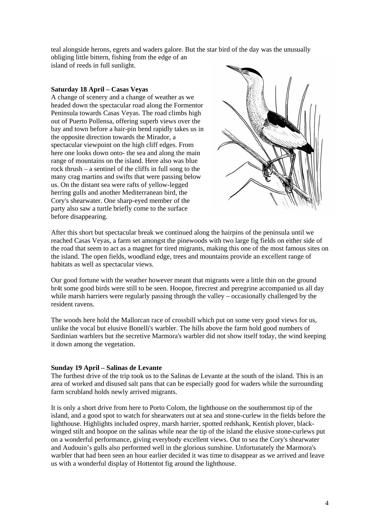teal alongside herons, egrets and waders galore. But the star bird of the day was the unusually obliging little bittern, fishing from the edge of an island of reeds in full sunlight.

### **Saturday 18 April – Casas Veyas**

A change of scenery and a change of weather as we headed down the spectacular road along the Formentor Peninsula towards Casas Veyas. The road climbs high out of Puerto Pollensa, offering superb views over the bay and town before a hair-pin bend rapidly takes us in the opposite direction towards the Mirador, a spectacular viewpoint on the high cliff edges. From here one looks down onto- the sea and along the main range of mountains on the island. Here also was blue rock thrush – a sentinel of the cliffs in full song to the many crag martins and swifts that were passing below us. On the distant sea were rafts of yellow-legged herring gulls and another Mediterranean bird, the Cory's shearwater. One sharp-eyed member of the party also saw a turtle briefly come to the surface before disappearing.



After this short but spectacular break we continued along the hairpins of the peninsula until we reached Casas Veyas, a farm set amongst the pinewoods with two large fig fields on either side of the road that seem to act as a magnet for tired migrants, making this one of the most famous sites on the island. The open fields, woodland edge, trees and mountains provide an excellent range of habitats as well as spectacular views.

Our good fortune with the weather however meant that migrants were a little thin on the ground br4t some good birds were still to be seen. Hoopoe, firecrest and peregrine accompanied us all day while marsh harriers were regularly passing through the valley – occasionally challenged by the resident ravens.

The woods here hold the Mallorcan race of crossbill which put on some very good views for us, unlike the vocal but elusive Bonelli's warbler. The hills above the farm hold good numbers of Sardinian warblers but the secretive Marmora's warbler did not show itself today, the wind keeping it down among the vegetation.

### **Sunday 19 April – Salinas de Levante**

The furthest drive of the trip took us to the Salinas de Levante at the south of the island. This is an area of worked and disused salt pans that can be especially good for waders while the surrounding farm scrubland holds newly arrived migrants.

It is only a short drive from here to Porto Colom, the lighthouse on the southernmost tip of the island, and a good spot to watch for shearwaters out at sea and stone-curlew in the fields before the lighthouse. Highlights included osprey, marsh harrier, spotted redshank, Kentish plover, blackwinged stilt and hoopoe on the salinas while near the tip of the island the elusive stone-curlews put on a wonderful performance, giving everybody excellent views. Out to sea the Cory's shearwater and Audouin's gulls also performed well in the glorious sunshine. Unfortunately the Marmora's warbler that had been seen an hour earlier decided it was time to disappear as we arrived and leave us with a wonderful display of Hottentot fig around the lighthouse.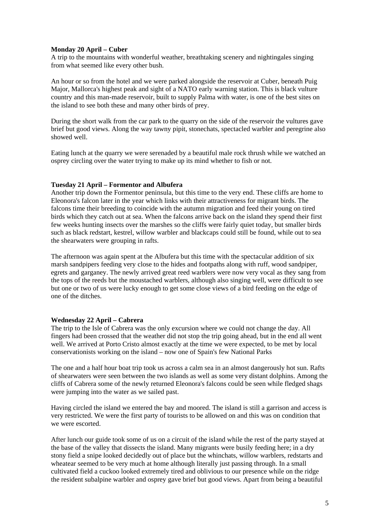### **Monday 20 April – Cuber**

A trip to the mountains with wonderful weather, breathtaking scenery and nightingales singing from what seemed like every other bush.

An hour or so from the hotel and we were parked alongside the reservoir at Cuber, beneath Puig Major, Mallorca's highest peak and sight of a NATO early warning station. This is black vulture country and this man-made reservoir, built to supply Palma with water, is one of the best sites on the island to see both these and many other birds of prey.

During the short walk from the car park to the quarry on the side of the reservoir the vultures gave brief but good views. Along the way tawny pipit, stonechats, spectacled warbler and peregrine also showed well.

Eating lunch at the quarry we were serenaded by a beautiful male rock thrush while we watched an osprey circling over the water trying to make up its mind whether to fish or not.

### **Tuesday 21 April – Formentor and Albufera**

Another trip down the Formentor peninsula, but this time to the very end. These cliffs are home to Eleonora's falcon later in the year which links with their attractiveness for migrant birds. The falcons time their breeding to coincide with the autumn migration and feed their young on tired birds which they catch out at sea. When the falcons arrive back on the island they spend their first few weeks hunting insects over the marshes so the cliffs were fairly quiet today, but smaller birds such as black redstart, kestrel, willow warbler and blackcaps could still be found, while out to sea the shearwaters were grouping in rafts.

The afternoon was again spent at the Albufera but this time with the spectacular addition of six marsh sandpipers feeding very close to the hides and footpaths along with ruff, wood sandpiper, egrets and garganey. The newly arrived great reed warblers were now very vocal as they sang from the tops of the reeds but the moustached warblers, although also singing well, were difficult to see but one or two of us were lucky enough to get some close views of a bird feeding on the edge of one of the ditches.

### **Wednesday 22 April – Cabrera**

The trip to the Isle of Cabrera was the only excursion where we could not change the day. All fingers had been crossed that the weather did not stop the trip going ahead, but in the end all went well. We arrived at Porto Cristo almost exactly at the time we were expected, to be met by local conservationists working on the island – now one of Spain's few National Parks

The one and a half hour boat trip took us across a calm sea in an almost dangerously hot sun. Rafts of shearwaters were seen between the two islands as well as some very distant dolphins. Among the cliffs of Cabrera some of the newly returned Eleonora's falcons could be seen while fledged shags were jumping into the water as we sailed past.

Having circled the island we entered the bay and moored. The island is still a garrison and access is very restricted. We were the first party of tourists to be allowed on and this was on condition that we were escorted.

After lunch our guide took some of us on a circuit of the island while the rest of the party stayed at the base of the valley that dissects the island. Many migrants were busily feeding here; in a dry stony field a snipe looked decidedly out of place but the whinchats, willow warblers, redstarts and wheatear seemed to be very much at home although literally just passing through. In a small cultivated field a cuckoo looked extremely tired and oblivious to our presence while on the ridge the resident subalpine warbler and osprey gave brief but good views. Apart from being a beautiful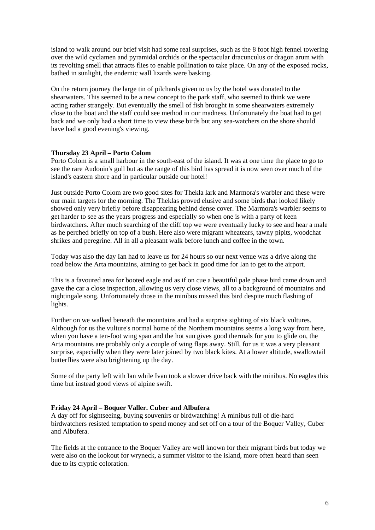island to walk around our brief visit had some real surprises, such as the 8 foot high fennel towering over the wild cyclamen and pyramidal orchids or the spectacular dracunculus or dragon arum with its revolting smell that attracts flies to enable pollination to take place. On any of the exposed rocks, bathed in sunlight, the endemic wall lizards were basking.

On the return journey the large tin of pilchards given to us by the hotel was donated to the shearwaters. This seemed to be a new concept to the park staff, who seemed to think we were acting rather strangely. But eventually the smell of fish brought in some shearwaters extremely close to the boat and the staff could see method in our madness. Unfortunately the boat had to get back and we only had a short time to view these birds but any sea-watchers on the shore should have had a good evening's viewing.

### **Thursday 23 April – Porto Colom**

Porto Colom is a small harbour in the south-east of the island. It was at one time the place to go to see the rare Audouin's gull but as the range of this bird has spread it is now seen over much of the island's eastern shore and in particular outside our hotel!

Just outside Porto Colom are two good sites for Thekla lark and Marmora's warbler and these were our main targets for the morning. The Theklas proved elusive and some birds that looked likely showed only very briefly before disappearing behind dense cover. The Marmora's warbler seems to get harder to see as the years progress and especially so when one is with a party of keen birdwatchers. After much searching of the cliff top we were eventually lucky to see and hear a male as he perched briefly on top of a bush. Here also were migrant wheatears, tawny pipits, woodchat shrikes and peregrine. All in all a pleasant walk before lunch and coffee in the town.

Today was also the day Ian had to leave us for 24 hours so our next venue was a drive along the road below the Arta mountains, aiming to get back in good time for Ian to get to the airport.

This is a favoured area for booted eagle and as if on cue a beautiful pale phase bird came down and gave the car a close inspection, allowing us very close views, all to a background of mountains and nightingale song. Unfortunately those in the minibus missed this bird despite much flashing of lights.

Further on we walked beneath the mountains and had a surprise sighting of six black vultures. Although for us the vulture's normal home of the Northern mountains seems a long way from here, when you have a ten-foot wing span and the hot sun gives good thermals for you to glide on, the Arta mountains are probably only a couple of wing flaps away. Still, for us it was a very pleasant surprise, especially when they were later joined by two black kites. At a lower altitude, swallowtail butterflies were also brightening up the day.

Some of the party left with Ian while Ivan took a slower drive back with the minibus. No eagles this time but instead good views of alpine swift.

### **Friday 24 April – Boquer Valler. Cuber and Albufera**

A day off for sightseeing, buying souvenirs or birdwatching! A minibus full of die-hard birdwatchers resisted temptation to spend money and set off on a tour of the Boquer Valley, Cuber and Albufera.

The fields at the entrance to the Boquer Valley are well known for their migrant birds but today we were also on the lookout for wryneck, a summer visitor to the island, more often heard than seen due to its cryptic coloration.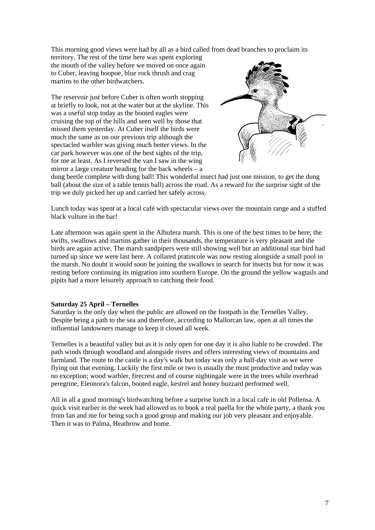This morning good views were had by all as a bird called from dead branches to proclaim its

territory. The rest of the time here was spent exploring the mouth of the valley before we moved on once again to Cuber, leaving hoopoe, blue rock thrush and crag martins to the other birdwatchers.

The reservoir just before Cuber is often worth stopping at briefly to look, not at the water but at the skyline. This was a useful stop today as the booted eagles were cruising the top of the hills and seen well by those that missed them yesterday. At Cuber itself the birds were much the same as on our previous trip although the spectacled warbler was giving much better views. In the car park however was one of the best sights of the trip, for me at least. As I reversed the van I saw in the wing mirror a large creature heading for the back wheels  $-\overline{a}$ 



dung beetle complete with dung ball! This wonderful insect had just one mission, to get the dung ball (about the size of a table tennis ball) across the road. As a reward for the surprise sight of the trip we duly picked her up and carried her safely across.

Lunch today was spent at a local café with spectacular views over the mountain range and a stuffed black vulture in the bar!

Late afternoon was again spent in the Albufera marsh. This is one of the best times to be here; the swifts, swallows and martins gather in their thousands, the temperature is very pleasant and the birds are again active. The marsh sandpipers were still showing well but an additional star bird had turned up since we were last here. A collared pratincole was now resting alongside a small pool in the marsh. No doubt it would soon be joining the swallows in search for insects but for now it was resting before continuing its migration into southern Europe. On the ground the yellow wagtails and pipits had a more leisurely approach to catching their food.

### **Saturday 25 April – Ternelles**

Saturday is the only day when the public are allowed on the footpath in the Ternelles Valley. Despite being a path to the sea and therefore, according to Mallorcan law, open at all times the influential landowners manage to keep it closed all week.

Ternelles is a beautiful valley but as it is only open for one day it is also liable to be crowded. The path winds through woodland and alongside rivers and offers interesting views of mountains and farmland. The route to the castle is a day's walk but today was only a half-day visit as we were flying out that evening. Luckily the first mile or two is usually the most productive and today was no exception; wood warbler, firecrest and of course nightingale were in the trees while overhead peregrine, Eleonora's falcon, booted eagle, kestrel and honey buzzard performed well.

All in all a good morning's birdwatching before a surprise lunch in a local cafe in old Pollensa. A quick visit earlier in the week had allowed us to book a real paella for the whole party, a thank you from Ian and me for being such a good group and making our job very pleasant and enjoyable. Then it was to Palma, Heathrow and home.